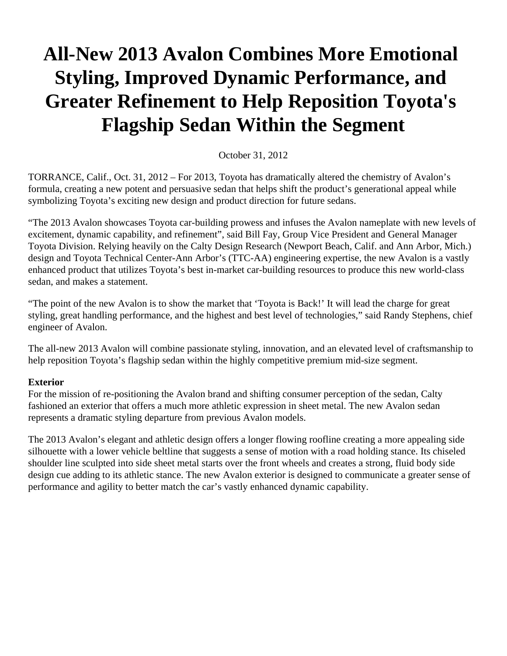# **All-New 2013 Avalon Combines More Emotional Styling, Improved Dynamic Performance, and Greater Refinement to Help Reposition Toyota's Flagship Sedan Within the Segment**

#### October 31, 2012

TORRANCE, Calif., Oct. 31, 2012 – For 2013, Toyota has dramatically altered the chemistry of Avalon's formula, creating a new potent and persuasive sedan that helps shift the product's generational appeal while symbolizing Toyota's exciting new design and product direction for future sedans.

"The 2013 Avalon showcases Toyota car-building prowess and infuses the Avalon nameplate with new levels of excitement, dynamic capability, and refinement", said Bill Fay, Group Vice President and General Manager Toyota Division. Relying heavily on the Calty Design Research (Newport Beach, Calif. and Ann Arbor, Mich.) design and Toyota Technical Center-Ann Arbor's (TTC-AA) engineering expertise, the new Avalon is a vastly enhanced product that utilizes Toyota's best in-market car-building resources to produce this new world-class sedan, and makes a statement.

"The point of the new Avalon is to show the market that 'Toyota is Back!' It will lead the charge for great styling, great handling performance, and the highest and best level of technologies," said Randy Stephens, chief engineer of Avalon.

The all-new 2013 Avalon will combine passionate styling, innovation, and an elevated level of craftsmanship to help reposition Toyota's flagship sedan within the highly competitive premium mid-size segment.

#### **Exterior**

For the mission of re-positioning the Avalon brand and shifting consumer perception of the sedan, Calty fashioned an exterior that offers a much more athletic expression in sheet metal. The new Avalon sedan represents a dramatic styling departure from previous Avalon models.

The 2013 Avalon's elegant and athletic design offers a longer flowing roofline creating a more appealing side silhouette with a lower vehicle beltline that suggests a sense of motion with a road holding stance. Its chiseled shoulder line sculpted into side sheet metal starts over the front wheels and creates a strong, fluid body side design cue adding to its athletic stance. The new Avalon exterior is designed to communicate a greater sense of performance and agility to better match the car's vastly enhanced dynamic capability.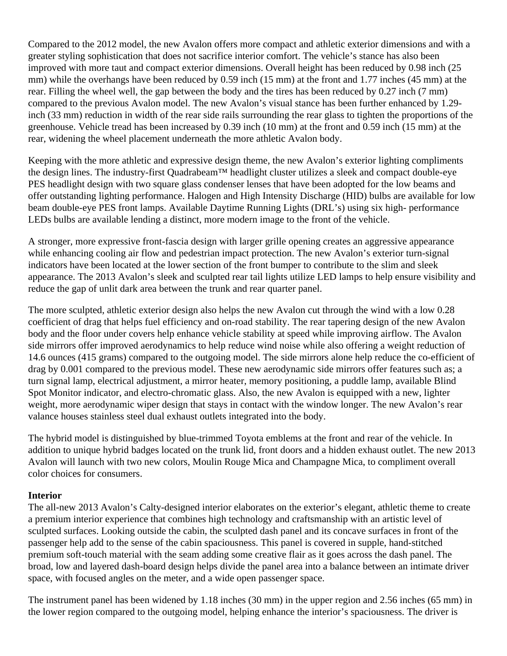Compared to the 2012 model, the new Avalon offers more compact and athletic exterior dimensions and with a greater styling sophistication that does not sacrifice interior comfort. The vehicle's stance has also been improved with more taut and compact exterior dimensions. Overall height has been reduced by 0.98 inch (25 mm) while the overhangs have been reduced by 0.59 inch (15 mm) at the front and 1.77 inches (45 mm) at the rear. Filling the wheel well, the gap between the body and the tires has been reduced by 0.27 inch (7 mm) compared to the previous Avalon model. The new Avalon's visual stance has been further enhanced by 1.29 inch (33 mm) reduction in width of the rear side rails surrounding the rear glass to tighten the proportions of the greenhouse. Vehicle tread has been increased by 0.39 inch (10 mm) at the front and 0.59 inch (15 mm) at the rear, widening the wheel placement underneath the more athletic Avalon body.

Keeping with the more athletic and expressive design theme, the new Avalon's exterior lighting compliments the design lines. The industry-first Quadrabeam™ headlight cluster utilizes a sleek and compact double-eye PES headlight design with two square glass condenser lenses that have been adopted for the low beams and offer outstanding lighting performance. Halogen and High Intensity Discharge (HID) bulbs are available for low beam double-eye PES front lamps. Available Daytime Running Lights (DRL's) using six high- performance LEDs bulbs are available lending a distinct, more modern image to the front of the vehicle.

A stronger, more expressive front-fascia design with larger grille opening creates an aggressive appearance while enhancing cooling air flow and pedestrian impact protection. The new Avalon's exterior turn-signal indicators have been located at the lower section of the front bumper to contribute to the slim and sleek appearance. The 2013 Avalon's sleek and sculpted rear tail lights utilize LED lamps to help ensure visibility and reduce the gap of unlit dark area between the trunk and rear quarter panel.

The more sculpted, athletic exterior design also helps the new Avalon cut through the wind with a low 0.28 coefficient of drag that helps fuel efficiency and on-road stability. The rear tapering design of the new Avalon body and the floor under covers help enhance vehicle stability at speed while improving airflow. The Avalon side mirrors offer improved aerodynamics to help reduce wind noise while also offering a weight reduction of 14.6 ounces (415 grams) compared to the outgoing model. The side mirrors alone help reduce the co-efficient of drag by 0.001 compared to the previous model. These new aerodynamic side mirrors offer features such as; a turn signal lamp, electrical adjustment, a mirror heater, memory positioning, a puddle lamp, available Blind Spot Monitor indicator, and electro-chromatic glass. Also, the new Avalon is equipped with a new, lighter weight, more aerodynamic wiper design that stays in contact with the window longer. The new Avalon's rear valance houses stainless steel dual exhaust outlets integrated into the body.

The hybrid model is distinguished by blue-trimmed Toyota emblems at the front and rear of the vehicle. In addition to unique hybrid badges located on the trunk lid, front doors and a hidden exhaust outlet. The new 2013 Avalon will launch with two new colors, Moulin Rouge Mica and Champagne Mica, to compliment overall color choices for consumers.

## **Interior**

The all-new 2013 Avalon's Calty-designed interior elaborates on the exterior's elegant, athletic theme to create a premium interior experience that combines high technology and craftsmanship with an artistic level of sculpted surfaces. Looking outside the cabin, the sculpted dash panel and its concave surfaces in front of the passenger help add to the sense of the cabin spaciousness. This panel is covered in supple, hand-stitched premium soft-touch material with the seam adding some creative flair as it goes across the dash panel. The broad, low and layered dash-board design helps divide the panel area into a balance between an intimate driver space, with focused angles on the meter, and a wide open passenger space.

The instrument panel has been widened by 1.18 inches (30 mm) in the upper region and 2.56 inches (65 mm) in the lower region compared to the outgoing model, helping enhance the interior's spaciousness. The driver is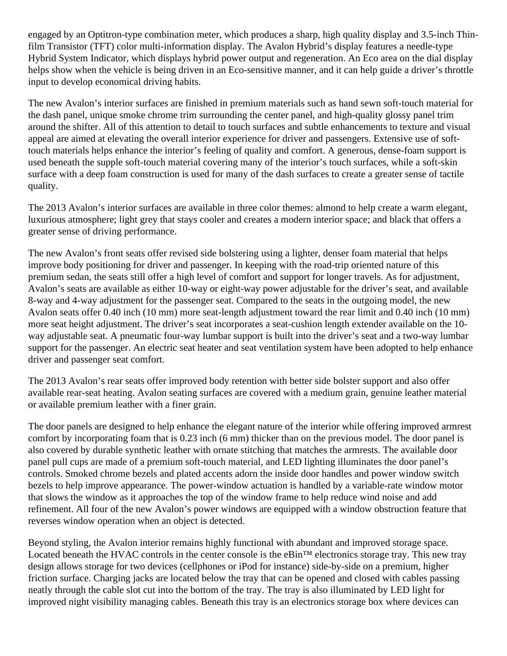engaged by an Optitron-type combination meter, which produces a sharp, high quality display and 3.5-inch Thinfilm Transistor (TFT) color multi-information display. The Avalon Hybrid's display features a needle-type Hybrid System Indicator, which displays hybrid power output and regeneration. An Eco area on the dial display helps show when the vehicle is being driven in an Eco-sensitive manner, and it can help guide a driver's throttle input to develop economical driving habits.

The new Avalon's interior surfaces are finished in premium materials such as hand sewn soft-touch material for the dash panel, unique smoke chrome trim surrounding the center panel, and high-quality glossy panel trim around the shifter. All of this attention to detail to touch surfaces and subtle enhancements to texture and visual appeal are aimed at elevating the overall interior experience for driver and passengers. Extensive use of softtouch materials helps enhance the interior's feeling of quality and comfort. A generous, dense-foam support is used beneath the supple soft-touch material covering many of the interior's touch surfaces, while a soft-skin surface with a deep foam construction is used for many of the dash surfaces to create a greater sense of tactile quality.

The 2013 Avalon's interior surfaces are available in three color themes: almond to help create a warm elegant, luxurious atmosphere; light grey that stays cooler and creates a modern interior space; and black that offers a greater sense of driving performance.

The new Avalon's front seats offer revised side bolstering using a lighter, denser foam material that helps improve body positioning for driver and passenger. In keeping with the road-trip oriented nature of this premium sedan, the seats still offer a high level of comfort and support for longer travels. As for adjustment, Avalon's seats are available as either 10-way or eight-way power adjustable for the driver's seat, and available 8-way and 4-way adjustment for the passenger seat. Compared to the seats in the outgoing model, the new Avalon seats offer 0.40 inch (10 mm) more seat-length adjustment toward the rear limit and 0.40 inch (10 mm) more seat height adjustment. The driver's seat incorporates a seat-cushion length extender available on the 10 way adjustable seat. A pneumatic four-way lumbar support is built into the driver's seat and a two-way lumbar support for the passenger. An electric seat heater and seat ventilation system have been adopted to help enhance driver and passenger seat comfort.

The 2013 Avalon's rear seats offer improved body retention with better side bolster support and also offer available rear-seat heating. Avalon seating surfaces are covered with a medium grain, genuine leather material or available premium leather with a finer grain.

The door panels are designed to help enhance the elegant nature of the interior while offering improved armrest comfort by incorporating foam that is 0.23 inch (6 mm) thicker than on the previous model. The door panel is also covered by durable synthetic leather with ornate stitching that matches the armrests. The available door panel pull cups are made of a premium soft-touch material, and LED lighting illuminates the door panel's controls. Smoked chrome bezels and plated accents adorn the inside door handles and power window switch bezels to help improve appearance. The power-window actuation is handled by a variable-rate window motor that slows the window as it approaches the top of the window frame to help reduce wind noise and add refinement. All four of the new Avalon's power windows are equipped with a window obstruction feature that reverses window operation when an object is detected.

Beyond styling, the Avalon interior remains highly functional with abundant and improved storage space. Located beneath the HVAC controls in the center console is the eBin™ electronics storage tray. This new tray design allows storage for two devices (cellphones or iPod for instance) side-by-side on a premium, higher friction surface. Charging jacks are located below the tray that can be opened and closed with cables passing neatly through the cable slot cut into the bottom of the tray. The tray is also illuminated by LED light for improved night visibility managing cables. Beneath this tray is an electronics storage box where devices can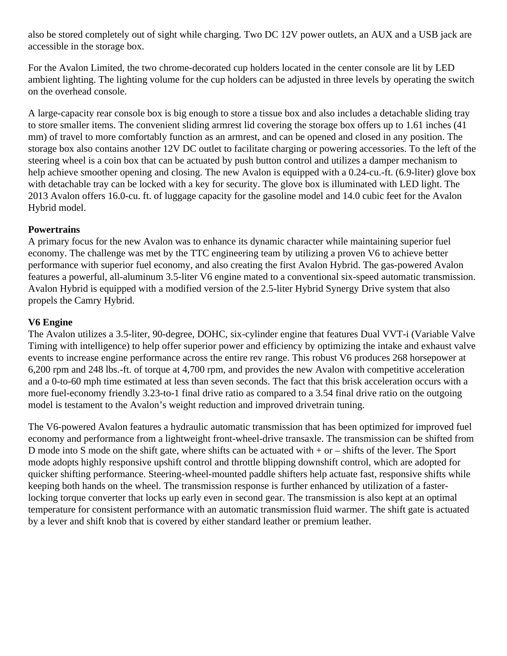also be stored completely out of sight while charging. Two DC 12V power outlets, an AUX and a USB jack are accessible in the storage box.

For the Avalon Limited, the two chrome-decorated cup holders located in the center console are lit by LED ambient lighting. The lighting volume for the cup holders can be adjusted in three levels by operating the switch on the overhead console.

A large-capacity rear console box is big enough to store a tissue box and also includes a detachable sliding tray to store smaller items. The convenient sliding armrest lid covering the storage box offers up to 1.61 inches (41 mm) of travel to more comfortably function as an armrest, and can be opened and closed in any position. The storage box also contains another 12V DC outlet to facilitate charging or powering accessories. To the left of the steering wheel is a coin box that can be actuated by push button control and utilizes a damper mechanism to help achieve smoother opening and closing. The new Avalon is equipped with a 0.24-cu.-ft. (6.9-liter) glove box with detachable tray can be locked with a key for security. The glove box is illuminated with LED light. The 2013 Avalon offers 16.0-cu. ft. of luggage capacity for the gasoline model and 14.0 cubic feet for the Avalon Hybrid model.

## **Powertrains**

A primary focus for the new Avalon was to enhance its dynamic character while maintaining superior fuel economy. The challenge was met by the TTC engineering team by utilizing a proven V6 to achieve better performance with superior fuel economy, and also creating the first Avalon Hybrid. The gas-powered Avalon features a powerful, all-aluminum 3.5-liter V6 engine mated to a conventional six-speed automatic transmission. Avalon Hybrid is equipped with a modified version of the 2.5-liter Hybrid Synergy Drive system that also propels the Camry Hybrid.

## **V6 Engine**

The Avalon utilizes a 3.5-liter, 90-degree, DOHC, six-cylinder engine that features Dual VVT-i (Variable Valve Timing with intelligence) to help offer superior power and efficiency by optimizing the intake and exhaust valve events to increase engine performance across the entire rev range. This robust V6 produces 268 horsepower at 6,200 rpm and 248 lbs.-ft. of torque at 4,700 rpm, and provides the new Avalon with competitive acceleration and a 0-to-60 mph time estimated at less than seven seconds. The fact that this brisk acceleration occurs with a more fuel-economy friendly 3.23-to-1 final drive ratio as compared to a 3.54 final drive ratio on the outgoing model is testament to the Avalon's weight reduction and improved drivetrain tuning.

The V6-powered Avalon features a hydraulic automatic transmission that has been optimized for improved fuel economy and performance from a lightweight front-wheel-drive transaxle. The transmission can be shifted from D mode into S mode on the shift gate, where shifts can be actuated with  $+$  or  $-$  shifts of the lever. The Sport mode adopts highly responsive upshift control and throttle blipping downshift control, which are adopted for quicker shifting performance. Steering-wheel-mounted paddle shifters help actuate fast, responsive shifts while keeping both hands on the wheel. The transmission response is further enhanced by utilization of a fasterlocking torque converter that locks up early even in second gear. The transmission is also kept at an optimal temperature for consistent performance with an automatic transmission fluid warmer. The shift gate is actuated by a lever and shift knob that is covered by either standard leather or premium leather.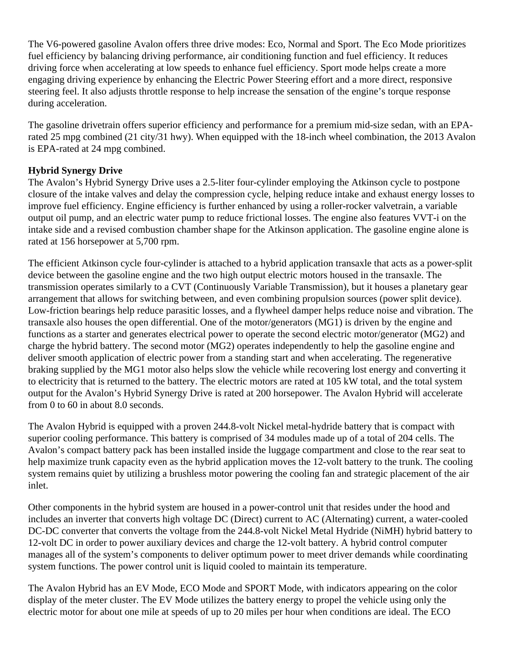The V6-powered gasoline Avalon offers three drive modes: Eco, Normal and Sport. The Eco Mode prioritizes fuel efficiency by balancing driving performance, air conditioning function and fuel efficiency. It reduces driving force when accelerating at low speeds to enhance fuel efficiency. Sport mode helps create a more engaging driving experience by enhancing the Electric Power Steering effort and a more direct, responsive steering feel. It also adjusts throttle response to help increase the sensation of the engine's torque response during acceleration.

The gasoline drivetrain offers superior efficiency and performance for a premium mid-size sedan, with an EPArated 25 mpg combined (21 city/31 hwy). When equipped with the 18-inch wheel combination, the 2013 Avalon is EPA-rated at 24 mpg combined.

## **Hybrid Synergy Drive**

The Avalon's Hybrid Synergy Drive uses a 2.5-liter four-cylinder employing the Atkinson cycle to postpone closure of the intake valves and delay the compression cycle, helping reduce intake and exhaust energy losses to improve fuel efficiency. Engine efficiency is further enhanced by using a roller-rocker valvetrain, a variable output oil pump, and an electric water pump to reduce frictional losses. The engine also features VVT-i on the intake side and a revised combustion chamber shape for the Atkinson application. The gasoline engine alone is rated at 156 horsepower at 5,700 rpm.

The efficient Atkinson cycle four-cylinder is attached to a hybrid application transaxle that acts as a power-split device between the gasoline engine and the two high output electric motors housed in the transaxle. The transmission operates similarly to a CVT (Continuously Variable Transmission), but it houses a planetary gear arrangement that allows for switching between, and even combining propulsion sources (power split device). Low-friction bearings help reduce parasitic losses, and a flywheel damper helps reduce noise and vibration. The transaxle also houses the open differential. One of the motor/generators (MG1) is driven by the engine and functions as a starter and generates electrical power to operate the second electric motor/generator (MG2) and charge the hybrid battery. The second motor (MG2) operates independently to help the gasoline engine and deliver smooth application of electric power from a standing start and when accelerating. The regenerative braking supplied by the MG1 motor also helps slow the vehicle while recovering lost energy and converting it to electricity that is returned to the battery. The electric motors are rated at 105 kW total, and the total system output for the Avalon's Hybrid Synergy Drive is rated at 200 horsepower. The Avalon Hybrid will accelerate from 0 to 60 in about 8.0 seconds.

The Avalon Hybrid is equipped with a proven 244.8-volt Nickel metal-hydride battery that is compact with superior cooling performance. This battery is comprised of 34 modules made up of a total of 204 cells. The Avalon's compact battery pack has been installed inside the luggage compartment and close to the rear seat to help maximize trunk capacity even as the hybrid application moves the 12-volt battery to the trunk. The cooling system remains quiet by utilizing a brushless motor powering the cooling fan and strategic placement of the air inlet.

Other components in the hybrid system are housed in a power-control unit that resides under the hood and includes an inverter that converts high voltage DC (Direct) current to AC (Alternating) current, a water-cooled DC-DC converter that converts the voltage from the 244.8-volt Nickel Metal Hydride (NiMH) hybrid battery to 12-volt DC in order to power auxiliary devices and charge the 12-volt battery. A hybrid control computer manages all of the system's components to deliver optimum power to meet driver demands while coordinating system functions. The power control unit is liquid cooled to maintain its temperature.

The Avalon Hybrid has an EV Mode, ECO Mode and SPORT Mode, with indicators appearing on the color display of the meter cluster. The EV Mode utilizes the battery energy to propel the vehicle using only the electric motor for about one mile at speeds of up to 20 miles per hour when conditions are ideal. The ECO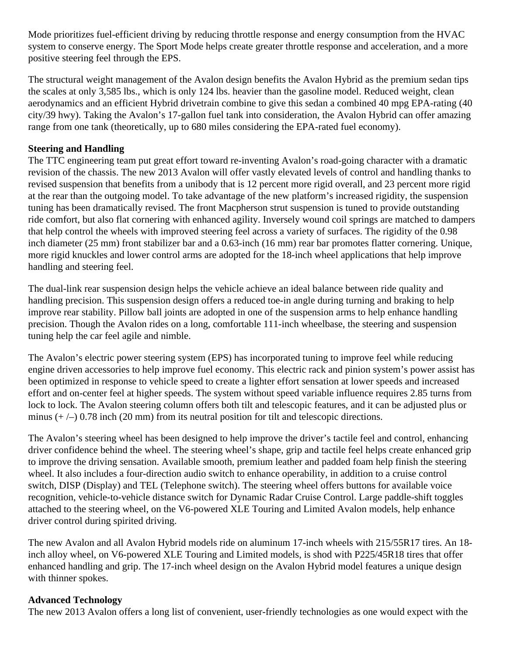Mode prioritizes fuel-efficient driving by reducing throttle response and energy consumption from the HVAC system to conserve energy. The Sport Mode helps create greater throttle response and acceleration, and a more positive steering feel through the EPS.

The structural weight management of the Avalon design benefits the Avalon Hybrid as the premium sedan tips the scales at only 3,585 lbs., which is only 124 lbs. heavier than the gasoline model. Reduced weight, clean aerodynamics and an efficient Hybrid drivetrain combine to give this sedan a combined 40 mpg EPA-rating (40 city/39 hwy). Taking the Avalon's 17-gallon fuel tank into consideration, the Avalon Hybrid can offer amazing range from one tank (theoretically, up to 680 miles considering the EPA-rated fuel economy).

## **Steering and Handling**

The TTC engineering team put great effort toward re-inventing Avalon's road-going character with a dramatic revision of the chassis. The new 2013 Avalon will offer vastly elevated levels of control and handling thanks to revised suspension that benefits from a unibody that is 12 percent more rigid overall, and 23 percent more rigid at the rear than the outgoing model. To take advantage of the new platform's increased rigidity, the suspension tuning has been dramatically revised. The front Macpherson strut suspension is tuned to provide outstanding ride comfort, but also flat cornering with enhanced agility. Inversely wound coil springs are matched to dampers that help control the wheels with improved steering feel across a variety of surfaces. The rigidity of the 0.98 inch diameter (25 mm) front stabilizer bar and a 0.63-inch (16 mm) rear bar promotes flatter cornering. Unique, more rigid knuckles and lower control arms are adopted for the 18-inch wheel applications that help improve handling and steering feel.

The dual-link rear suspension design helps the vehicle achieve an ideal balance between ride quality and handling precision. This suspension design offers a reduced toe-in angle during turning and braking to help improve rear stability. Pillow ball joints are adopted in one of the suspension arms to help enhance handling precision. Though the Avalon rides on a long, comfortable 111-inch wheelbase, the steering and suspension tuning help the car feel agile and nimble.

The Avalon's electric power steering system (EPS) has incorporated tuning to improve feel while reducing engine driven accessories to help improve fuel economy. This electric rack and pinion system's power assist has been optimized in response to vehicle speed to create a lighter effort sensation at lower speeds and increased effort and on-center feel at higher speeds. The system without speed variable influence requires 2.85 turns from lock to lock. The Avalon steering column offers both tilt and telescopic features, and it can be adjusted plus or minus  $(+/-)$  0.78 inch (20 mm) from its neutral position for tilt and telescopic directions.

The Avalon's steering wheel has been designed to help improve the driver's tactile feel and control, enhancing driver confidence behind the wheel. The steering wheel's shape, grip and tactile feel helps create enhanced grip to improve the driving sensation. Available smooth, premium leather and padded foam help finish the steering wheel. It also includes a four-direction audio switch to enhance operability, in addition to a cruise control switch, DISP (Display) and TEL (Telephone switch). The steering wheel offers buttons for available voice recognition, vehicle-to-vehicle distance switch for Dynamic Radar Cruise Control. Large paddle-shift toggles attached to the steering wheel, on the V6-powered XLE Touring and Limited Avalon models, help enhance driver control during spirited driving.

The new Avalon and all Avalon Hybrid models ride on aluminum 17-inch wheels with 215/55R17 tires. An 18 inch alloy wheel, on V6-powered XLE Touring and Limited models, is shod with P225/45R18 tires that offer enhanced handling and grip. The 17-inch wheel design on the Avalon Hybrid model features a unique design with thinner spokes.

## **Advanced Technology**

The new 2013 Avalon offers a long list of convenient, user-friendly technologies as one would expect with the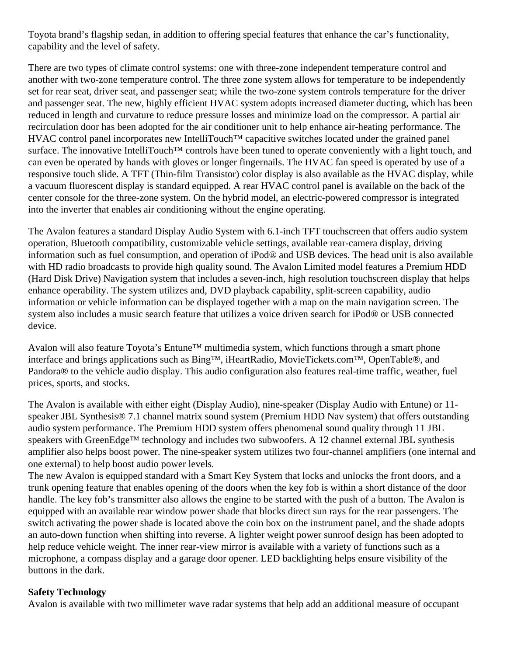Toyota brand's flagship sedan, in addition to offering special features that enhance the car's functionality, capability and the level of safety.

There are two types of climate control systems: one with three-zone independent temperature control and another with two-zone temperature control. The three zone system allows for temperature to be independently set for rear seat, driver seat, and passenger seat; while the two-zone system controls temperature for the driver and passenger seat. The new, highly efficient HVAC system adopts increased diameter ducting, which has been reduced in length and curvature to reduce pressure losses and minimize load on the compressor. A partial air recirculation door has been adopted for the air conditioner unit to help enhance air-heating performance. The HVAC control panel incorporates new IntelliTouch<sup>™</sup> capacitive switches located under the grained panel surface. The innovative IntelliTouch<sup>™</sup> controls have been tuned to operate conveniently with a light touch, and can even be operated by hands with gloves or longer fingernails. The HVAC fan speed is operated by use of a responsive touch slide. A TFT (Thin-film Transistor) color display is also available as the HVAC display, while a vacuum fluorescent display is standard equipped. A rear HVAC control panel is available on the back of the center console for the three-zone system. On the hybrid model, an electric-powered compressor is integrated into the inverter that enables air conditioning without the engine operating.

The Avalon features a standard Display Audio System with 6.1-inch TFT touchscreen that offers audio system operation, Bluetooth compatibility, customizable vehicle settings, available rear-camera display, driving information such as fuel consumption, and operation of iPod® and USB devices. The head unit is also available with HD radio broadcasts to provide high quality sound. The Avalon Limited model features a Premium HDD (Hard Disk Drive) Navigation system that includes a seven-inch, high resolution touchscreen display that helps enhance operability. The system utilizes and, DVD playback capability, split-screen capability, audio information or vehicle information can be displayed together with a map on the main navigation screen. The system also includes a music search feature that utilizes a voice driven search for iPod® or USB connected device.

Avalon will also feature Toyota's Entune™ multimedia system, which functions through a smart phone interface and brings applications such as Bing™, iHeartRadio, MovieTickets.com™, OpenTable®, and Pandora® to the vehicle audio display. This audio configuration also features real-time traffic, weather, fuel prices, sports, and stocks.

The Avalon is available with either eight (Display Audio), nine-speaker (Display Audio with Entune) or 11 speaker JBL Synthesis® 7.1 channel matrix sound system (Premium HDD Nav system) that offers outstanding audio system performance. The Premium HDD system offers phenomenal sound quality through 11 JBL speakers with GreenEdge™ technology and includes two subwoofers. A 12 channel external JBL synthesis amplifier also helps boost power. The nine-speaker system utilizes two four-channel amplifiers (one internal and one external) to help boost audio power levels.

The new Avalon is equipped standard with a Smart Key System that locks and unlocks the front doors, and a trunk opening feature that enables opening of the doors when the key fob is within a short distance of the door handle. The key fob's transmitter also allows the engine to be started with the push of a button. The Avalon is equipped with an available rear window power shade that blocks direct sun rays for the rear passengers. The switch activating the power shade is located above the coin box on the instrument panel, and the shade adopts an auto-down function when shifting into reverse. A lighter weight power sunroof design has been adopted to help reduce vehicle weight. The inner rear-view mirror is available with a variety of functions such as a microphone, a compass display and a garage door opener. LED backlighting helps ensure visibility of the buttons in the dark.

## **Safety Technology**

Avalon is available with two millimeter wave radar systems that help add an additional measure of occupant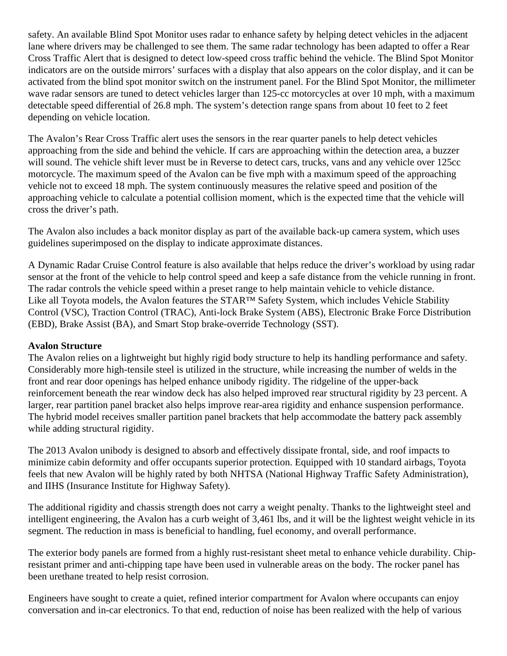safety. An available Blind Spot Monitor uses radar to enhance safety by helping detect vehicles in the adjacent lane where drivers may be challenged to see them. The same radar technology has been adapted to offer a Rear Cross Traffic Alert that is designed to detect low-speed cross traffic behind the vehicle. The Blind Spot Monitor indicators are on the outside mirrors' surfaces with a display that also appears on the color display, and it can be activated from the blind spot monitor switch on the instrument panel. For the Blind Spot Monitor, the millimeter wave radar sensors are tuned to detect vehicles larger than 125-cc motorcycles at over 10 mph, with a maximum detectable speed differential of 26.8 mph. The system's detection range spans from about 10 feet to 2 feet depending on vehicle location.

The Avalon's Rear Cross Traffic alert uses the sensors in the rear quarter panels to help detect vehicles approaching from the side and behind the vehicle. If cars are approaching within the detection area, a buzzer will sound. The vehicle shift lever must be in Reverse to detect cars, trucks, vans and any vehicle over 125cc motorcycle. The maximum speed of the Avalon can be five mph with a maximum speed of the approaching vehicle not to exceed 18 mph. The system continuously measures the relative speed and position of the approaching vehicle to calculate a potential collision moment, which is the expected time that the vehicle will cross the driver's path.

The Avalon also includes a back monitor display as part of the available back-up camera system, which uses guidelines superimposed on the display to indicate approximate distances.

A Dynamic Radar Cruise Control feature is also available that helps reduce the driver's workload by using radar sensor at the front of the vehicle to help control speed and keep a safe distance from the vehicle running in front. The radar controls the vehicle speed within a preset range to help maintain vehicle to vehicle distance. Like all Toyota models, the Avalon features the STAR™ Safety System, which includes Vehicle Stability Control (VSC), Traction Control (TRAC), Anti-lock Brake System (ABS), Electronic Brake Force Distribution (EBD), Brake Assist (BA), and Smart Stop brake-override Technology (SST).

## **Avalon Structure**

The Avalon relies on a lightweight but highly rigid body structure to help its handling performance and safety. Considerably more high-tensile steel is utilized in the structure, while increasing the number of welds in the front and rear door openings has helped enhance unibody rigidity. The ridgeline of the upper-back reinforcement beneath the rear window deck has also helped improved rear structural rigidity by 23 percent. A larger, rear partition panel bracket also helps improve rear-area rigidity and enhance suspension performance. The hybrid model receives smaller partition panel brackets that help accommodate the battery pack assembly while adding structural rigidity.

The 2013 Avalon unibody is designed to absorb and effectively dissipate frontal, side, and roof impacts to minimize cabin deformity and offer occupants superior protection. Equipped with 10 standard airbags, Toyota feels that new Avalon will be highly rated by both NHTSA (National Highway Traffic Safety Administration), and IIHS (Insurance Institute for Highway Safety).

The additional rigidity and chassis strength does not carry a weight penalty. Thanks to the lightweight steel and intelligent engineering, the Avalon has a curb weight of 3,461 lbs, and it will be the lightest weight vehicle in its segment. The reduction in mass is beneficial to handling, fuel economy, and overall performance.

The exterior body panels are formed from a highly rust-resistant sheet metal to enhance vehicle durability. Chipresistant primer and anti-chipping tape have been used in vulnerable areas on the body. The rocker panel has been urethane treated to help resist corrosion.

Engineers have sought to create a quiet, refined interior compartment for Avalon where occupants can enjoy conversation and in-car electronics. To that end, reduction of noise has been realized with the help of various